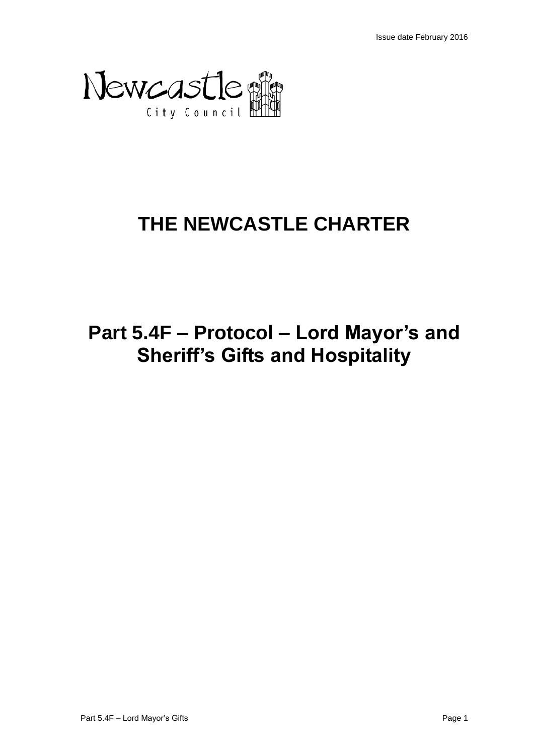

# **THE NEWCASTLE CHARTER**

# **Part 5.4F – Protocol – Lord Mayor's and Sheriff's Gifts and Hospitality**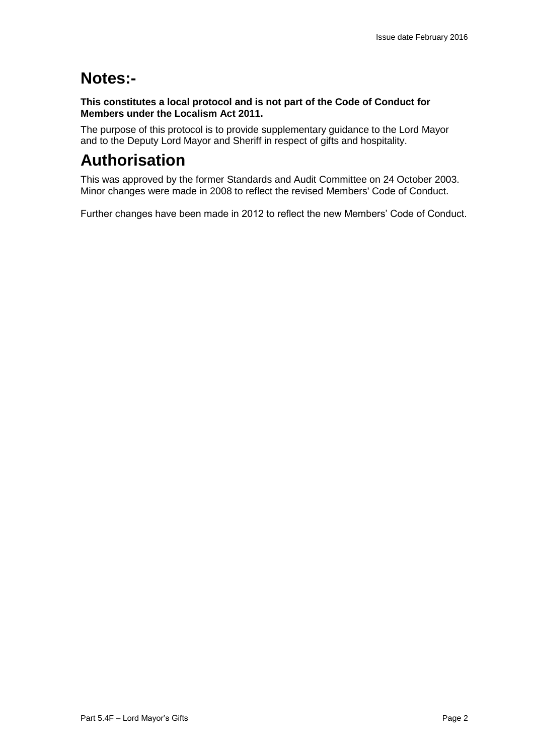# **Notes:-**

**This constitutes a local protocol and is not part of the Code of Conduct for Members under the Localism Act 2011.**

The purpose of this protocol is to provide supplementary guidance to the Lord Mayor and to the Deputy Lord Mayor and Sheriff in respect of gifts and hospitality.

# **Authorisation**

This was approved by the former Standards and Audit Committee on 24 October 2003. Minor changes were made in 2008 to reflect the revised Members' Code of Conduct.

Further changes have been made in 2012 to reflect the new Members' Code of Conduct.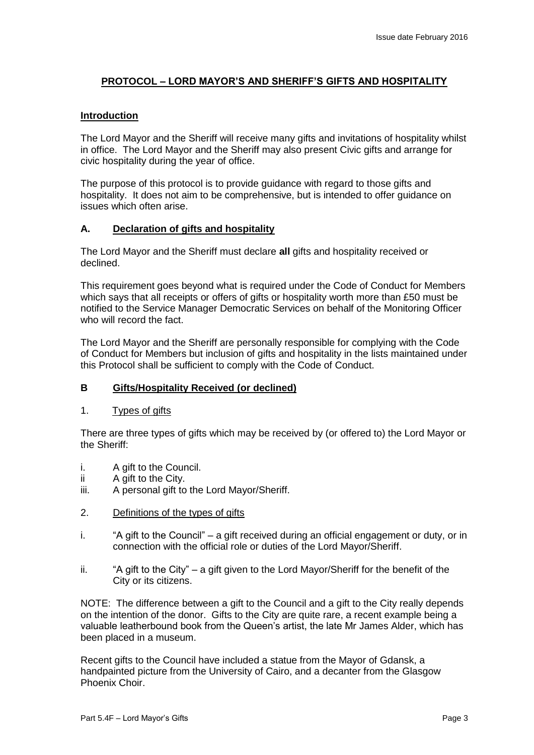## **PROTOCOL – LORD MAYOR'S AND SHERIFF'S GIFTS AND HOSPITALITY**

### **Introduction**

The Lord Mayor and the Sheriff will receive many gifts and invitations of hospitality whilst in office. The Lord Mayor and the Sheriff may also present Civic gifts and arrange for civic hospitality during the year of office.

The purpose of this protocol is to provide guidance with regard to those gifts and hospitality. It does not aim to be comprehensive, but is intended to offer guidance on issues which often arise.

### **A. Declaration of gifts and hospitality**

The Lord Mayor and the Sheriff must declare **all** gifts and hospitality received or declined.

This requirement goes beyond what is required under the Code of Conduct for Members which says that all receipts or offers of gifts or hospitality worth more than £50 must be notified to the Service Manager Democratic Services on behalf of the Monitoring Officer who will record the fact.

The Lord Mayor and the Sheriff are personally responsible for complying with the Code of Conduct for Members but inclusion of gifts and hospitality in the lists maintained under this Protocol shall be sufficient to comply with the Code of Conduct.

## **B Gifts/Hospitality Received (or declined)**

1. Types of gifts

There are three types of gifts which may be received by (or offered to) the Lord Mayor or the Sheriff:

- i. A gift to the Council.
- ii A gift to the City.
- iii. A personal gift to the Lord Mayor/Sheriff.
- 2. Definitions of the types of gifts
- i. "A gift to the Council" a gift received during an official engagement or duty, or in connection with the official role or duties of the Lord Mayor/Sheriff.
- ii. "A gift to the City" a gift given to the Lord Mayor/Sheriff for the benefit of the City or its citizens.

NOTE: The difference between a gift to the Council and a gift to the City really depends on the intention of the donor. Gifts to the City are quite rare, a recent example being a valuable leatherbound book from the Queen's artist, the late Mr James Alder, which has been placed in a museum.

Recent gifts to the Council have included a statue from the Mayor of Gdansk, a handpainted picture from the University of Cairo, and a decanter from the Glasgow Phoenix Choir.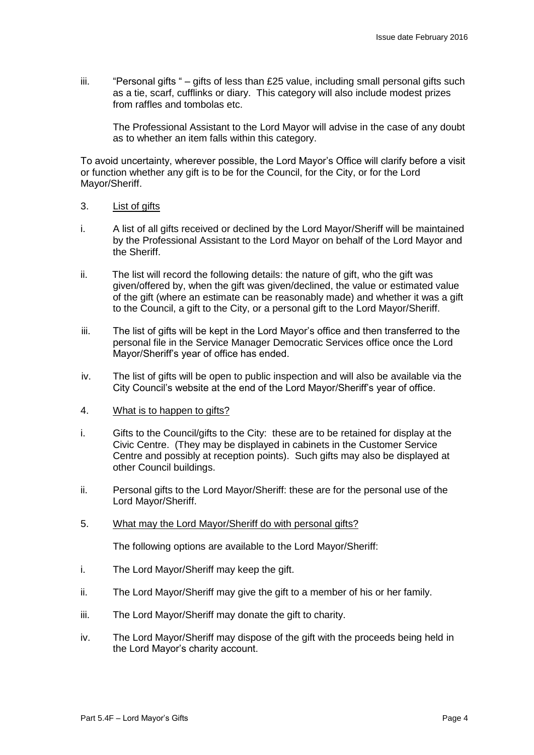iii. "Personal gifts " – gifts of less than  $£25$  value, including small personal gifts such as a tie, scarf, cufflinks or diary. This category will also include modest prizes from raffles and tombolas etc.

The Professional Assistant to the Lord Mayor will advise in the case of any doubt as to whether an item falls within this category.

To avoid uncertainty, wherever possible, the Lord Mayor's Office will clarify before a visit or function whether any gift is to be for the Council, for the City, or for the Lord Mayor/Sheriff.

- 3. List of gifts
- i. A list of all gifts received or declined by the Lord Mayor/Sheriff will be maintained by the Professional Assistant to the Lord Mayor on behalf of the Lord Mayor and the Sheriff.
- ii. The list will record the following details: the nature of gift, who the gift was given/offered by, when the gift was given/declined, the value or estimated value of the gift (where an estimate can be reasonably made) and whether it was a gift to the Council, a gift to the City, or a personal gift to the Lord Mayor/Sheriff.
- iii. The list of gifts will be kept in the Lord Mayor's office and then transferred to the personal file in the Service Manager Democratic Services office once the Lord Mayor/Sheriff's year of office has ended.
- iv. The list of gifts will be open to public inspection and will also be available via the City Council's website at the end of the Lord Mayor/Sheriff's year of office.
- 4. What is to happen to gifts?
- i. Gifts to the Council/gifts to the City: these are to be retained for display at the Civic Centre. (They may be displayed in cabinets in the Customer Service Centre and possibly at reception points). Such gifts may also be displayed at other Council buildings.
- ii. Personal gifts to the Lord Mayor/Sheriff: these are for the personal use of the Lord Mayor/Sheriff.
- 5. What may the Lord Mayor/Sheriff do with personal gifts?

The following options are available to the Lord Mayor/Sheriff:

- i. The Lord Mayor/Sheriff may keep the gift.
- ii. The Lord Mayor/Sheriff may give the gift to a member of his or her family.
- iii. The Lord Mayor/Sheriff may donate the gift to charity.
- iv. The Lord Mayor/Sheriff may dispose of the gift with the proceeds being held in the Lord Mayor's charity account.